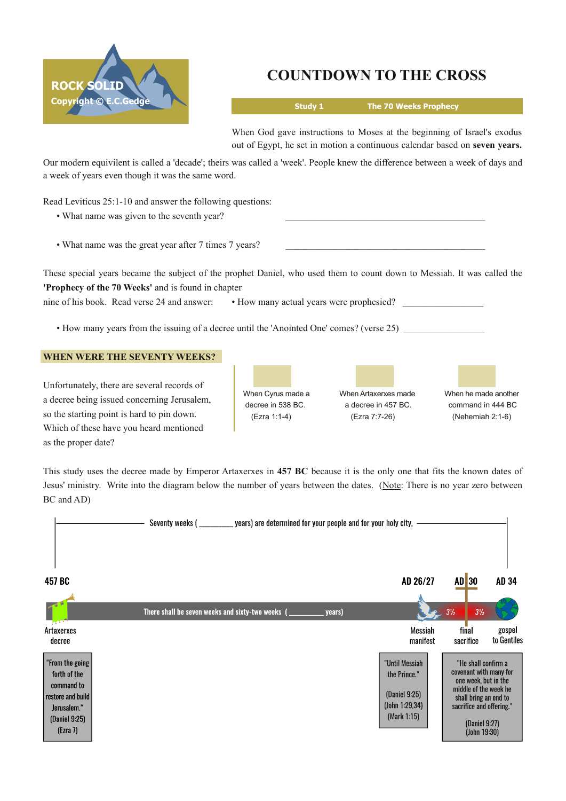

# **COUNTDOWN TO THE CROSS**

**Study 1 The 70 Weeks Prophecy**

When God gave instructions to Moses at the beginning of Israel's exodus out of Egypt, he set in motion a continuous calendar based on **seven years.**

Our modern equivilent is called a 'decade'; theirs was called a 'week'. People knew the difference between a week of days and a week of years even though it was the same word.

Read Leviticus 25:1-10 and answer the following questions:

- What name was given to the seventh year?
- What name was the great year after 7 times 7 years?

These special years became the subject of the prophet Daniel, who used them to count down to Messiah. It was called the **'Prophecy of the 70 Weeks'** and is found in chapter

nine of his book. Read verse 24 and answer: • How many actual years were prophesied?

• How many years from the issuing of a decree until the 'Anointed One' comes? (verse 25)

# **WHEN WERE THE SEVENTY WEEKS?**

Unfortunately, there are several records of a decree being issued concerning Jerusalem, so the starting point is hard to pin down. Which of these have you heard mentioned as the proper date?

When Cyrus made a When Artaxerxes made When he made another decree in 538 BC. <br>a decree in 457 BC. command in 444 BC (Ezra 1:14) (Ezra 7:726) (Nehemiah 2:16)

This study uses the decree made by Emperor Artaxerxes in **457 BC** because it is the only one that fits the known dates of Jesus' ministry. Write into the diagram below the number of years between the dates. (Note: There is no year zero between BC and AD)